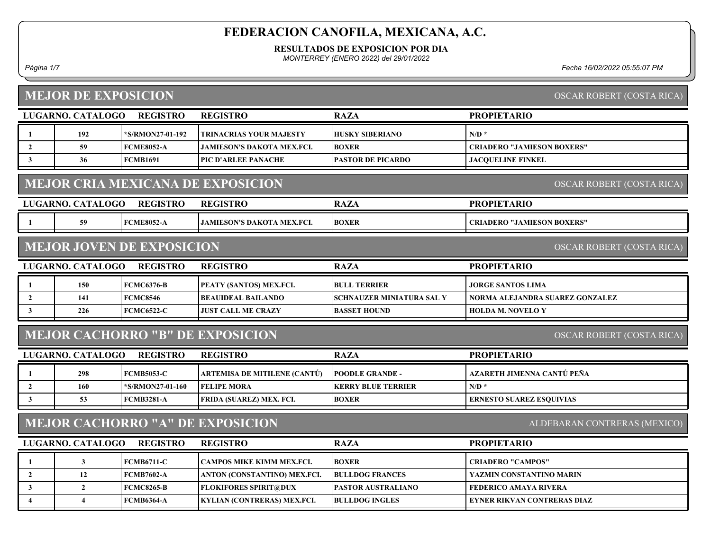RESULTADOS DE EXPOSICION POR DIA

MONTERREY (ENERO 2022) del 29/01/2022

#### MEJOR DE EXPOSICION

Página 1/7 Fecha 16/02/2022 05:55:07 PM

|                | <b>MEJOR DE EXPOSICION</b>                                           |                                  |                                                             |                           | OSCAR ROBERT (COSTA RICA)         |  |  |
|----------------|----------------------------------------------------------------------|----------------------------------|-------------------------------------------------------------|---------------------------|-----------------------------------|--|--|
|                | LUGARNO. CATALOGO                                                    | <b>REGISTRO</b>                  | <b>REGISTRO</b>                                             | <b>RAZA</b>               | <b>PROPIETARIO</b>                |  |  |
| -1             | 192                                                                  | *S/RMON27-01-192                 | TRINACRIAS YOUR MAJESTY                                     | <b>HUSKY SIBERIANO</b>    | $N/D$ *                           |  |  |
| $\overline{2}$ | 59                                                                   | <b>FCME8052-A</b>                | JAMIESON'S DAKOTA MEX.FCI.                                  | <b>BOXER</b>              | <b>CRIADERO "JAMIESON BOXERS"</b> |  |  |
| $\mathbf{3}$   | 36                                                                   | <b>FCMB1691</b>                  | PIC D'ARLEE PANACHE                                         | <b>PASTOR DE PICARDO</b>  | <b>JACOUELINE FINKEL</b>          |  |  |
|                |                                                                      |                                  | <b>MEJOR CRIA MEXICANA DE EXPOSICION</b>                    |                           | <b>OSCAR ROBERT (COSTA RICA)</b>  |  |  |
|                | LUGARNO. CATALOGO                                                    | <b>REGISTRO</b>                  | <b>REGISTRO</b>                                             | <b>RAZA</b>               | <b>PROPIETARIO</b>                |  |  |
| -1             | 59                                                                   | <b>FCME8052-A</b>                | <b>JAMIESON'S DAKOTA MEX.FCI.</b>                           | <b>BOXER</b>              | <b>CRIADERO "JAMIESON BOXERS"</b> |  |  |
|                |                                                                      | <b>MEJOR JOVEN DE EXPOSICION</b> |                                                             |                           | OSCAR ROBERT (COSTA RICA)         |  |  |
|                | LUGARNO. CATALOGO                                                    | <b>REGISTRO</b>                  | <b>REGISTRO</b>                                             | <b>RAZA</b>               | <b>PROPIETARIO</b>                |  |  |
| -1             | 150                                                                  | <b>FCMC6376-B</b>                | PEATY (SANTOS) MEX.FCI.                                     | <b>BULL TERRIER</b>       | JORGE SANTOS LIMA                 |  |  |
| $\overline{2}$ | 141                                                                  | <b>FCMC8546</b>                  | <b>BEAUIDEAL BAILANDO</b>                                   | SCHNAUZER MINIATURA SAL Y | NORMA ALEJANDRA SUAREZ GONZALEZ   |  |  |
| 3              | 226                                                                  | <b>FCMC6522-C</b>                | <b>JUST CALL ME CRAZY</b>                                   | <b>BASSET HOUND</b>       | <b>HOLDA M. NOVELO Y</b>          |  |  |
|                | <b>MEJOR CACHORRO "B" DE EXPOSICION</b><br>OSCAR ROBERT (COSTA RICA) |                                  |                                                             |                           |                                   |  |  |
|                |                                                                      |                                  |                                                             |                           |                                   |  |  |
|                | <b>LUGARNO. CATALOGO</b>                                             | <b>REGISTRO</b>                  | <b>REGISTRO</b>                                             | <b>RAZA</b>               | <b>PROPIETARIO</b>                |  |  |
| 1              | 298                                                                  | <b>FCMB5053-C</b>                | <b>ARTEMISA DE MITILENE (CANTÚ)</b>                         | <b>POODLE GRANDE -</b>    | AZARETH JIMENNA CANTÚ PEÑA        |  |  |
| $\overline{2}$ | 160                                                                  | *S/RMON27-01-160                 | <b>FELIPE MORA</b>                                          | <b>KERRY BLUE TERRIER</b> | $N/D$ *                           |  |  |
| $\mathbf{3}$   | 53                                                                   | <b>FCMB3281-A</b>                | FRIDA (SUAREZ) MEX. FCI.                                    | <b>BOXER</b>              | <b>ERNESTO SUAREZ ESQUIVIAS</b>   |  |  |
|                |                                                                      |                                  | <b>MEJOR CACHORRO "A" DE EXPOSICION</b>                     |                           | ALDEBARAN CONTRERAS (MEXICO)      |  |  |
|                | <b>LUGARNO. CATALOGO</b>                                             | <b>REGISTRO</b>                  | <b>REGISTRO</b>                                             | <b>RAZA</b>               | <b>PROPIETARIO</b>                |  |  |
| -1             | $\mathbf{3}$                                                         | <b>FCMB6711-C</b>                | CAMPOS MIKE KIMM MEX.FCI.                                   | <b>BOXER</b>              | <b>CRIADERO "CAMPOS"</b>          |  |  |
| $\mathbf{2}$   | 12                                                                   | <b>FCMB7602-A</b>                | ANTON (CONSTANTINO) MEX.FCI.                                | <b>BULLDOG FRANCES</b>    | YAZMIN CONSTANTINO MARIN          |  |  |
| $\mathbf{3}$   | $\overline{2}$                                                       | <b>FCMC8265-B</b>                | <b>FLOKIFORES SPIRIT@DUX</b><br>KYLIAN (CONTRERAS) MEX.FCI. | PASTOR AUSTRALIANO        | <b>FEDERICO AMAYA RIVERA</b>      |  |  |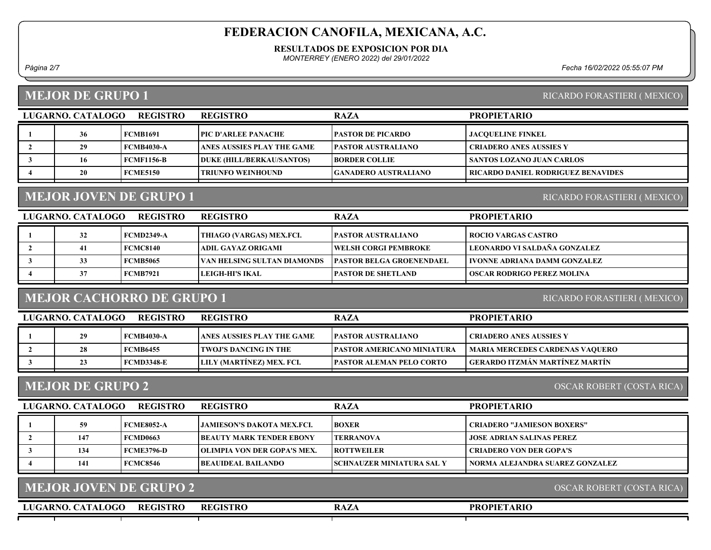#### RESULTADOS DE EXPOSICION POR DIA

MONTERREY (ENERO 2022) del 29/01/2022

Página 2/7 Fecha 16/02/2022 05:55:07 PM

#### MEJOR DE GRUPO 1

| RICARDO FORASTIERI (MEXICO) |  |
|-----------------------------|--|
|                             |  |

| 36<br><b>PASTOR DE PICARDO</b><br><b>TPIC D'ARLEE PANACHE</b><br><b>JACOUELINE FINKEL</b><br>  FCMB1691<br><b>IPASTOR AUSTRALIANO</b><br>  FCMB4030-A<br>  ANES AUSSIES PLAY THE GAME<br>CRIADERO ANES AUSSIES Y<br><b>FCMF1156-B</b><br><b>SANTOS LOZANO JUAN CARLOS</b><br>DUKE (HILL/BERKAU/SANTOS)<br><b>IBORDER COLLIE</b><br>16 | LUGARNO. CATALOGO | <b>REGISTRO</b> | <b>REGISTRO</b> | <b>RAZA</b> | <b>PROPIETARIO</b> |
|---------------------------------------------------------------------------------------------------------------------------------------------------------------------------------------------------------------------------------------------------------------------------------------------------------------------------------------|-------------------|-----------------|-----------------|-------------|--------------------|
|                                                                                                                                                                                                                                                                                                                                       |                   |                 |                 |             |                    |
|                                                                                                                                                                                                                                                                                                                                       |                   |                 |                 |             |                    |
|                                                                                                                                                                                                                                                                                                                                       |                   |                 |                 |             |                    |
| <b>RICARDO DANIEL RODRIGUEZ BENAVIDES</b><br><b>FCME5150</b><br>20<br><b>TRIUNFO WEINHOUND</b><br>  GANADERO AUSTRALIANO                                                                                                                                                                                                              |                   |                 |                 |             |                    |

# MEJOR JOVEN DE GRUPO 1

LUGARNO. CATALOGO REGISTRO REGISTRO RAZA PROPIETARIO 1 32 FCMD2349-A THIAGO (VARGAS) MEX.FCI. PASTOR AUSTRALIANO ROCIO VARGAS CASTRO 2 41 FCMC8140 ADIL GAYAZ ORIGAMI WELSH CORGI PEMBROKE LEONARDO VI SALDAÑA GONZALEZ 3 33 FCMB5065 VAN HELSING SULTAN DIAMONDS PASTOR BELGA GROENENDAEL VONNE ADRIANA DAMM GONZALEZ 4 37 FCMB7921 LEIGH-HI'S IKAL PASTOR DE SHETLAND | OSCAR RODRIGO PEREZ MOLINA

#### MEJOR CACHORRO DE GRUPO 1

RICARDO FORASTIERI ( MEXICO)

RICARDO FORASTIERI ( MEXICO)

| LUGARNO. CATALOGO | REGISTRO   | <b>REGISTRO</b>                    | <b>RAZA</b>                        | <b>PROPIETARIO</b>                     |
|-------------------|------------|------------------------------------|------------------------------------|----------------------------------------|
| 29                | FCMB4030-A | <b>LANES AUSSIES PLAY THE GAME</b> | <b>PASTOR AUSTRALIANO</b>          | <b>CRIADERO ANES AUSSIES Y</b>         |
| 28                | FCMB6455   | <b>TWOJ'S DANCING IN THE</b>       | <b>IPASTOR AMERICANO MINIATURA</b> | <b>MARIA MERCEDES CARDENAS VAQUERO</b> |
| 23                | FCMD3348-E | LILY (MARTINEZ) MEX. FCI.          | <b>IPASTOR ALEMAN PELO CORTO</b>   | - GERARDO ITZMÁN MARTÍNEZ MARTÍN       |
|                   |            |                                    |                                    |                                        |

#### MEJOR DE GRUPO 2

OSCAR ROBERT (COSTA RICA)

| LUGARNO. CATALOGO | <b>REGISTRO</b>   | <b>REGISTRO</b>                     | <b>RAZA</b>                       | <b>PROPIETARIO</b>                |
|-------------------|-------------------|-------------------------------------|-----------------------------------|-----------------------------------|
| 59                | <b>FCME8052-A</b> | LIAMIESON'S DAKOTA MEX.FCL          | <b>BOXER</b>                      | <b>CRIADERO "JAMIESON BOXERS"</b> |
| 147               | <b>FCMD0663</b>   | <b>IBEAUTY MARK TENDER EBONY</b>    | <b>TERRANOVA</b>                  | <b>JOSE ADRIAN SALINAS PEREZ</b>  |
| 134               | <b>FCME3796-D</b> | <b>TOLIMPIA VON DER GOPA'S MEX.</b> | <b>ROTTWEILER</b>                 | <b>CRIADERO VON DER GOPA'S</b>    |
| 141               | <b>FCMC8546</b>   | <b>IBEAUIDEAL BAILANDO</b>          | <b>ISCHNAUZER MINIATURA SAL Y</b> | NORMA ALEJANDRA SUAREZ GONZALEZ   |
|                   |                   |                                     |                                   |                                   |

| MEJOR JOVEN DE GRUPO 2               | OSCAR ROBERT (COSTA RICA) |             |                    |  |
|--------------------------------------|---------------------------|-------------|--------------------|--|
| <b>REGISTRO</b><br>LUGARNO. CATALOGO | <b>REGISTRO</b>           | <b>RAZA</b> | <b>PROPIETARIO</b> |  |
|                                      |                           |             |                    |  |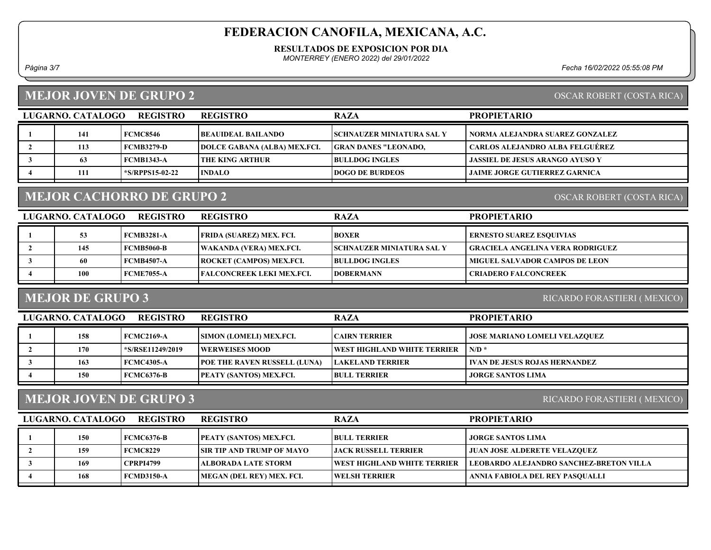#### RESULTADOS DE EXPOSICION POR DIA

MONTERREY (ENERO 2022) del 29/01/2022

Página 3/7 Fecha 16/02/2022 05:55:08 PM

### MEJOR JOVEN DE GRUPO 2

#### OSCAR ROBERT (COSTA RICA)

| LUGARNO. CATALOGO | <b>REGISTRO</b>       | <b>REGISTRO</b>                     | <b>RAZA</b>                      | <b>PROPIETARIO</b>                     |
|-------------------|-----------------------|-------------------------------------|----------------------------------|----------------------------------------|
| 141               | FCMC8546              | BEAUIDEAL BAILANDO_                 | <b>SCHNAUZER MINIATURA SAL Y</b> | NORMA ALEJANDRA SUAREZ GONZALEZ        |
| 113               | FCMB3279-D            | <b>DOLCE GABANA (ALBA) MEX.FCI.</b> | <b>GRAN DANES "LEONADO,</b>      | <b>CARLOS ALEJANDRO ALBA FELGUÉREZ</b> |
| 63                | FCMB1343-A            | I THE KING ARTHUR                   | <b>BULLDOG INGLES</b>            | <b>JASSIEL DE JESUS ARANGO AYUSO Y</b> |
| 111               | <b>S/RPPS15-02-22</b> | <b>INDALO</b>                       | <b>IDOGO DE BURDEOS</b>          | <b>JAIME JORGE GUTIERREZ GARNICA</b>   |

# MEJOR CACHORRO DE GRUPO 2

OSCAR ROBERT (COSTA RICA)

| LUGARNO. CATALOGO | <b>REGISTRO</b>   | <b>REGISTRO</b>                 | <b>RAZA</b>                       | <b>PROPIETARIO</b>                      |
|-------------------|-------------------|---------------------------------|-----------------------------------|-----------------------------------------|
|                   | <b>FCMB3281-A</b> | FRIDA (SUAREZ) MEX. FCI.        | <b>BOXER</b>                      | <b>ERNESTO SUAREZ ESQUIVIAS</b>         |
| 145               | <b>FCMB5060-B</b> | WAKANDA (VERA) MEX.FCI.         | <b>ISCHNAUZER MINIATURA SAL Y</b> | <b>GRACIELA ANGELINA VERA RODRIGUEZ</b> |
| 60                | <b>FCMB4507-A</b> | ROCKET (CAMPOS) MEX.FCI.        | <b>BULLDOG INGLES</b>             | <b>MIGUEL SALVADOR CAMPOS DE LEON</b>   |
| 100               | <b>FCME7055-A</b> | <b>FALCONCREEK LEKI MEX.FCL</b> | <b>IDOBERMANN</b>                 | <b>CRIADERO FALCONCREEK</b>             |
|                   |                   |                                 |                                   |                                         |

### MEJOR DE GRUPO 3

RICARDO FORASTIERI ( MEXICO)

| LUGARNO. CATALOGO | <b>REGISTRO</b>  | <b>REGISTRO</b>                     | <b>RAZA</b>                 | <b>PROPIETARIO</b>                   |
|-------------------|------------------|-------------------------------------|-----------------------------|--------------------------------------|
| 158               | FCMC2169-A       | <b>ISIMON (LOMELI) MEX.FCI.</b>     | CAIRN TERRIER               | <b>JOSE MARIANO LOMELI VELAZOUEZ</b> |
| 170               | *S/RSE11249/2019 | <b>EWERWEISES MOOD</b>              | WEST HIGHLAND WHITE TERRIER | $N/D$ *                              |
| 163               | FCMC4305-A       | <b>POE THE RAVEN RUSSELL (LUNA)</b> | <b>TLAKELAND TERRIER</b>    | <b>IVAN DE JESUS ROJAS HERNANDEZ</b> |
| 150               | FCMC6376-B       | <b>PEATY (SANTOS) MEX.FCI.</b>      | <b>BULL TERRIER</b>         | <b>JORGE SANTOS LIMA</b>             |

#### MEJOR JOVEN DE GRUPO 3

RICARDO FORASTIERI ( MEXICO)

| LUGARNO. CATALOGO | <b>REGISTRO</b> | <b>REGISTRO</b>                  | <b>RAZA</b>                         | <b>PROPIETARIO</b>                      |
|-------------------|-----------------|----------------------------------|-------------------------------------|-----------------------------------------|
| 150               | FCMC6376-B      | <b>PEATY (SANTOS) MEX.FCI.</b>   | <b>BULL TERRIER</b>                 | <b>JORGE SANTOS LIMA</b>                |
| 159               | <b>FCMC8229</b> | <b>SIR TIP AND TRUMP OF MAYO</b> | LJACK RUSSELL TERRIER-              | <b>JUAN JOSE ALDERETE VELAZQUEZ</b>     |
| 169               | CPRPI4799       | <b>ALBORADA LATE STORM</b>       | <b>IWEST HIGHLAND WHITE TERRIER</b> | LEOBARDO ALEJANDRO SANCHEZ-BRETON VILLA |
| 168               | FCMD3150-A      | MEGAN (DEL REY) MEX. FCI.        | <b>WELSH TERRIER</b>                | ANNIA FABIOLA DEL REY PASOUALLI         |
|                   |                 |                                  |                                     |                                         |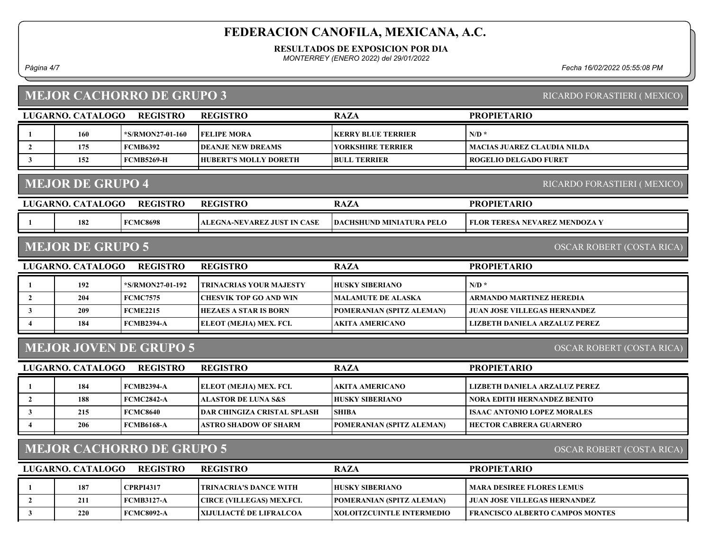#### RESULTADOS DE EXPOSICION POR DIA

MONTERREY (ENERO 2022) del 29/01/2022

Página 4/7 Fecha 16/02/2022 05:55:08 PM

## MEJOR CACHORRO DE GRUPO 3

|  |  | RICARDO FORASTIERI (MEXICO) |  |
|--|--|-----------------------------|--|
|--|--|-----------------------------|--|

|                         | LUGARNO. CATALOGO                                             | <b>REGISTRO</b>               | <b>REGISTRO</b>                    | <b>RAZA</b>                      | <b>PROPIETARIO</b>                     |  |  |
|-------------------------|---------------------------------------------------------------|-------------------------------|------------------------------------|----------------------------------|----------------------------------------|--|--|
| $\mathbf{1}$            | 160                                                           | *S/RMON27-01-160              | <b>FELIPE MORA</b>                 | <b>KERRY BLUE TERRIER</b>        | $N/D$ *                                |  |  |
| $\overline{2}$          | 175                                                           | <b>FCMB6392</b>               | <b>DEANJE NEW DREAMS</b>           | <b>YORKSHIRE TERRIER</b>         | <b>MACIAS JUAREZ CLAUDIA NILDA</b>     |  |  |
| $\mathbf{3}$            | 152                                                           | <b>FCMB5269-H</b>             | <b>HUBERT'S MOLLY DORETH</b>       | <b>BULL TERRIER</b>              | <b>ROGELIO DELGADO FURET</b>           |  |  |
|                         | <b>MEJOR DE GRUPO 4</b>                                       |                               |                                    |                                  | RICARDO FORASTIERI (MEXICO)            |  |  |
|                         | LUGARNO. CATALOGO                                             | <b>REGISTRO</b>               | <b>REGISTRO</b>                    | <b>RAZA</b>                      | <b>PROPIETARIO</b>                     |  |  |
|                         | 182                                                           | <b>FCMC8698</b>               | ALEGNA-NEVAREZ JUST IN CASE        | DACHSHUND MINIATURA PELO         | FLOR TERESA NEVAREZ MENDOZA Y          |  |  |
|                         | <b>MEJOR DE GRUPO 5</b>                                       |                               |                                    |                                  | OSCAR ROBERT (COSTA RICA)              |  |  |
|                         | LUGARNO. CATALOGO                                             | <b>REGISTRO</b>               | <b>REGISTRO</b>                    | <b>RAZA</b>                      | <b>PROPIETARIO</b>                     |  |  |
| $\mathbf{1}$            | 192                                                           | *S/RMON27-01-192              | TRINACRIAS YOUR MAJESTY            | <b>HUSKY SIBERIANO</b>           | $N/D$ *                                |  |  |
| $\overline{2}$          | 204                                                           | <b>FCMC7575</b>               | <b>CHESVIK TOP GO AND WIN</b>      | <b>MALAMUTE DE ALASKA</b>        | <b>ARMANDO MARTINEZ HEREDIA</b>        |  |  |
| $\mathbf{3}$            | 209                                                           | <b>FCME2215</b>               | <b>HEZAES A STAR IS BORN</b>       | POMERANIAN (SPITZ ALEMAN)        | <b>JUAN JOSE VILLEGAS HERNANDEZ</b>    |  |  |
| $\overline{4}$          | 184                                                           | <b>FCMB2394-A</b>             | ELEOT (MEJIA) MEX. FCI.            | AKITA AMERICANO                  | <b>LIZBETH DANIELA ARZALUZ PEREZ</b>   |  |  |
|                         |                                                               | <b>MEJOR JOVEN DE GRUPO 5</b> |                                    |                                  | OSCAR ROBERT (COSTA RICA)              |  |  |
|                         | LUGARNO. CATALOGO                                             | <b>REGISTRO</b>               | <b>REGISTRO</b>                    | <b>RAZA</b>                      | <b>PROPIETARIO</b>                     |  |  |
| $\mathbf{1}$            | 184                                                           | <b>FCMB2394-A</b>             | ELEOT (MEJIA) MEX. FCI.            | AKITA AMERICANO                  | LIZBETH DANIELA ARZALUZ PEREZ          |  |  |
| $\overline{2}$          | 188                                                           | <b>FCMC2842-A</b>             | <b>ALASTOR DE LUNA S&amp;S</b>     | <b>HUSKY SIBERIANO</b>           | <b>NORA EDITH HERNANDEZ BENITO</b>     |  |  |
| $\mathbf{3}$            | 215                                                           | <b>FCMC8640</b>               | <b>DAR CHINGIZA CRISTAL SPLASH</b> | <b>SHIBA</b>                     | <b>ISAAC ANTONIO LOPEZ MORALES</b>     |  |  |
| $\overline{4}$          | 206                                                           | <b>FCMB6168-A</b>             | ASTRO SHADOW OF SHARM              | POMERANIAN (SPITZ ALEMAN)        | <b>HECTOR CABRERA GUARNERO</b>         |  |  |
|                         | <b>MEJOR CACHORRO DE GRUPO 5</b><br>OSCAR ROBERT (COSTA RICA) |                               |                                    |                                  |                                        |  |  |
|                         | LUGARNO. CATALOGO                                             | <b>REGISTRO</b>               | <b>REGISTRO</b>                    | <b>RAZA</b>                      | <b>PROPIETARIO</b>                     |  |  |
| $\mathbf{1}$            | 187                                                           | <b>CPRPI4317</b>              | TRINACRIA'S DANCE WITH             | <b>HUSKY SIBERIANO</b>           | <b>MARA DESIREE FLORES LEMUS</b>       |  |  |
| $\overline{2}$          | 211                                                           | <b>FCMB3127-A</b>             | CIRCE (VILLEGAS) MEX.FCI.          | POMERANIAN (SPITZ ALEMAN)        | <b>JUAN JOSE VILLEGAS HERNANDEZ</b>    |  |  |
| $\overline{\mathbf{3}}$ | 220                                                           | <b>FCMC8092-A</b>             | XIJULIACTÉ DE LIFRALCOA            | <b>XOLOITZCUINTLE INTERMEDIO</b> | <b>FRANCISCO ALBERTO CAMPOS MONTES</b> |  |  |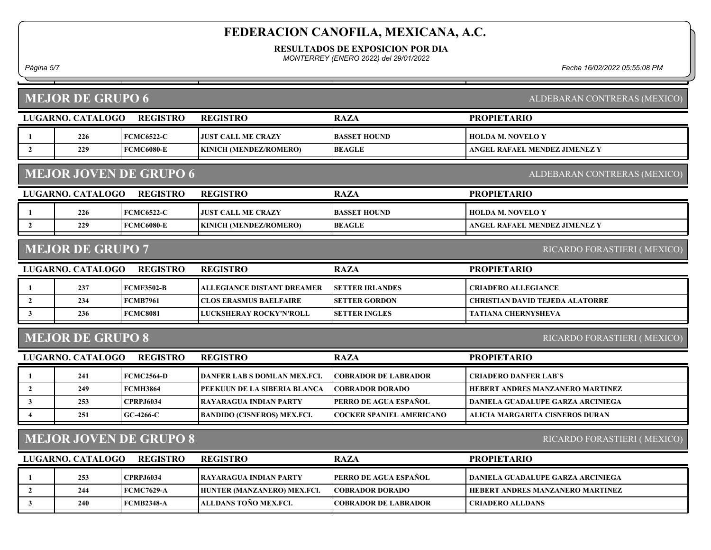RESULTADOS DE EXPOSICION POR DIA

MONTERREY (ENERO 2022) del 29/01/2022

Página 5/7 Fecha 16/02/2022 05:55:08 PM

| <b>PROPIETARIO</b><br>LUGARNO. CATALOGO<br><b>REGISTRO</b><br><b>REGISTRO</b><br><b>RAZA</b><br>226<br><b>FCMC6522-C</b><br><b>JUST CALL ME CRAZY</b><br><b>BASSET HOUND</b><br><b>HOLDA M. NOVELO Y</b><br>1<br>$\overline{2}$<br>229<br><b>FCMC6080-E</b><br>KINICH (MENDEZ/ROMERO)<br>ANGEL RAFAEL MENDEZ JIMENEZ Y<br><b>BEAGLE</b><br><b>MEJOR JOVEN DE GRUPO 6</b><br>ALDEBARAN CONTRERAS (MEXICO)<br>LUGARNO. CATALOGO<br><b>REGISTRO</b><br><b>REGISTRO</b><br><b>RAZA</b><br><b>PROPIETARIO</b><br><b>FCMC6522-C</b><br>226<br><b>JUST CALL ME CRAZY</b><br><b>BASSET HOUND</b><br><b>HOLDA M. NOVELO Y</b><br>1<br>$\overline{2}$<br>229<br><b>FCMC6080-E</b><br>KINICH (MENDEZ/ROMERO)<br><b>BEAGLE</b><br>ANGEL RAFAEL MENDEZ JIMENEZ Y<br><b>MEJOR DE GRUPO 7</b><br>RICARDO FORASTIERI (MEXICO)<br>LUGARNO. CATALOGO<br><b>REGISTRO</b><br><b>REGISTRO</b><br><b>RAZA</b><br><b>PROPIETARIO</b><br>237<br><b>FCMF3502-B</b><br><b>ALLEGIANCE DISTANT DREAMER</b><br><b>SETTER IRLANDES</b><br><b>CRIADERO ALLEGIANCE</b><br>$\mathbf{1}$<br>$\overline{2}$<br>234<br><b>FCMB7961</b><br><b>CLOS ERASMUS BAELFAIRE</b><br><b>SETTER GORDON</b><br><b>CHRISTIAN DAVID TEJEDA ALATORRE</b><br>$\mathbf{3}$<br>236<br><b>FCMC8081</b><br>LUCKSHERAY ROCKY'N'ROLL<br><b>SETTER INGLES</b><br><b>TATIANA CHERNYSHEVA</b><br><b>MEJOR DE GRUPO 8</b><br>RICARDO FORASTIERI (MEXICO)<br>LUGARNO. CATALOGO<br><b>REGISTRO</b><br><b>RAZA</b><br><b>REGISTRO</b><br><b>PROPIETARIO</b><br>241<br><b>FCMC2564-D</b><br><b>DANFER LAB S DOMLAN MEX.FCI.</b><br><b>COBRADOR DE LABRADOR</b><br><b>CRIADERO DANFER LAB'S</b><br>1<br>249<br><b>FCMH3864</b><br>$\overline{2}$<br>PEEKUUN DE LA SIBERIA BLANCA<br><b>COBRADOR DORADO</b><br>HEBERT ANDRES MANZANERO MARTINEZ<br>PERRO DE AGUA ESPAÑOL<br><b>CPRPJ6034</b><br>$\mathbf{3}$<br>253<br><b>RAYARAGUA INDIAN PARTY</b><br>DANIELA GUADALUPE GARZA ARCINIEGA<br>251<br>$GC-4266-C$<br><b>BANDIDO (CISNEROS) MEX.FCI.</b><br><b>COCKER SPANIEL AMERICANO</b><br>ALICIA MARGARITA CISNEROS DURAN<br><b>MEJOR JOVEN DE GRUPO 8</b><br>RICARDO FORASTIERI (MEXICO)<br>LUGARNO. CATALOGO |  | <b>MEJOR DE GRUPO 6</b><br>ALDEBARAN CONTRERAS (MEXICO) |                 |                 |             |                    |  |  |  |  |
|----------------------------------------------------------------------------------------------------------------------------------------------------------------------------------------------------------------------------------------------------------------------------------------------------------------------------------------------------------------------------------------------------------------------------------------------------------------------------------------------------------------------------------------------------------------------------------------------------------------------------------------------------------------------------------------------------------------------------------------------------------------------------------------------------------------------------------------------------------------------------------------------------------------------------------------------------------------------------------------------------------------------------------------------------------------------------------------------------------------------------------------------------------------------------------------------------------------------------------------------------------------------------------------------------------------------------------------------------------------------------------------------------------------------------------------------------------------------------------------------------------------------------------------------------------------------------------------------------------------------------------------------------------------------------------------------------------------------------------------------------------------------------------------------------------------------------------------------------------------------------------------------------------------------------------------------------------------------------------------------------------------------------------------------------------------------------------------------------------------------------------------------|--|---------------------------------------------------------|-----------------|-----------------|-------------|--------------------|--|--|--|--|
|                                                                                                                                                                                                                                                                                                                                                                                                                                                                                                                                                                                                                                                                                                                                                                                                                                                                                                                                                                                                                                                                                                                                                                                                                                                                                                                                                                                                                                                                                                                                                                                                                                                                                                                                                                                                                                                                                                                                                                                                                                                                                                                                              |  |                                                         |                 |                 |             |                    |  |  |  |  |
|                                                                                                                                                                                                                                                                                                                                                                                                                                                                                                                                                                                                                                                                                                                                                                                                                                                                                                                                                                                                                                                                                                                                                                                                                                                                                                                                                                                                                                                                                                                                                                                                                                                                                                                                                                                                                                                                                                                                                                                                                                                                                                                                              |  |                                                         |                 |                 |             |                    |  |  |  |  |
|                                                                                                                                                                                                                                                                                                                                                                                                                                                                                                                                                                                                                                                                                                                                                                                                                                                                                                                                                                                                                                                                                                                                                                                                                                                                                                                                                                                                                                                                                                                                                                                                                                                                                                                                                                                                                                                                                                                                                                                                                                                                                                                                              |  |                                                         |                 |                 |             |                    |  |  |  |  |
|                                                                                                                                                                                                                                                                                                                                                                                                                                                                                                                                                                                                                                                                                                                                                                                                                                                                                                                                                                                                                                                                                                                                                                                                                                                                                                                                                                                                                                                                                                                                                                                                                                                                                                                                                                                                                                                                                                                                                                                                                                                                                                                                              |  |                                                         |                 |                 |             |                    |  |  |  |  |
|                                                                                                                                                                                                                                                                                                                                                                                                                                                                                                                                                                                                                                                                                                                                                                                                                                                                                                                                                                                                                                                                                                                                                                                                                                                                                                                                                                                                                                                                                                                                                                                                                                                                                                                                                                                                                                                                                                                                                                                                                                                                                                                                              |  |                                                         |                 |                 |             |                    |  |  |  |  |
|                                                                                                                                                                                                                                                                                                                                                                                                                                                                                                                                                                                                                                                                                                                                                                                                                                                                                                                                                                                                                                                                                                                                                                                                                                                                                                                                                                                                                                                                                                                                                                                                                                                                                                                                                                                                                                                                                                                                                                                                                                                                                                                                              |  |                                                         |                 |                 |             |                    |  |  |  |  |
|                                                                                                                                                                                                                                                                                                                                                                                                                                                                                                                                                                                                                                                                                                                                                                                                                                                                                                                                                                                                                                                                                                                                                                                                                                                                                                                                                                                                                                                                                                                                                                                                                                                                                                                                                                                                                                                                                                                                                                                                                                                                                                                                              |  |                                                         |                 |                 |             |                    |  |  |  |  |
|                                                                                                                                                                                                                                                                                                                                                                                                                                                                                                                                                                                                                                                                                                                                                                                                                                                                                                                                                                                                                                                                                                                                                                                                                                                                                                                                                                                                                                                                                                                                                                                                                                                                                                                                                                                                                                                                                                                                                                                                                                                                                                                                              |  |                                                         |                 |                 |             |                    |  |  |  |  |
|                                                                                                                                                                                                                                                                                                                                                                                                                                                                                                                                                                                                                                                                                                                                                                                                                                                                                                                                                                                                                                                                                                                                                                                                                                                                                                                                                                                                                                                                                                                                                                                                                                                                                                                                                                                                                                                                                                                                                                                                                                                                                                                                              |  |                                                         |                 |                 |             |                    |  |  |  |  |
|                                                                                                                                                                                                                                                                                                                                                                                                                                                                                                                                                                                                                                                                                                                                                                                                                                                                                                                                                                                                                                                                                                                                                                                                                                                                                                                                                                                                                                                                                                                                                                                                                                                                                                                                                                                                                                                                                                                                                                                                                                                                                                                                              |  |                                                         |                 |                 |             |                    |  |  |  |  |
|                                                                                                                                                                                                                                                                                                                                                                                                                                                                                                                                                                                                                                                                                                                                                                                                                                                                                                                                                                                                                                                                                                                                                                                                                                                                                                                                                                                                                                                                                                                                                                                                                                                                                                                                                                                                                                                                                                                                                                                                                                                                                                                                              |  |                                                         |                 |                 |             |                    |  |  |  |  |
|                                                                                                                                                                                                                                                                                                                                                                                                                                                                                                                                                                                                                                                                                                                                                                                                                                                                                                                                                                                                                                                                                                                                                                                                                                                                                                                                                                                                                                                                                                                                                                                                                                                                                                                                                                                                                                                                                                                                                                                                                                                                                                                                              |  |                                                         |                 |                 |             |                    |  |  |  |  |
|                                                                                                                                                                                                                                                                                                                                                                                                                                                                                                                                                                                                                                                                                                                                                                                                                                                                                                                                                                                                                                                                                                                                                                                                                                                                                                                                                                                                                                                                                                                                                                                                                                                                                                                                                                                                                                                                                                                                                                                                                                                                                                                                              |  |                                                         |                 |                 |             |                    |  |  |  |  |
|                                                                                                                                                                                                                                                                                                                                                                                                                                                                                                                                                                                                                                                                                                                                                                                                                                                                                                                                                                                                                                                                                                                                                                                                                                                                                                                                                                                                                                                                                                                                                                                                                                                                                                                                                                                                                                                                                                                                                                                                                                                                                                                                              |  |                                                         |                 |                 |             |                    |  |  |  |  |
|                                                                                                                                                                                                                                                                                                                                                                                                                                                                                                                                                                                                                                                                                                                                                                                                                                                                                                                                                                                                                                                                                                                                                                                                                                                                                                                                                                                                                                                                                                                                                                                                                                                                                                                                                                                                                                                                                                                                                                                                                                                                                                                                              |  |                                                         |                 |                 |             |                    |  |  |  |  |
|                                                                                                                                                                                                                                                                                                                                                                                                                                                                                                                                                                                                                                                                                                                                                                                                                                                                                                                                                                                                                                                                                                                                                                                                                                                                                                                                                                                                                                                                                                                                                                                                                                                                                                                                                                                                                                                                                                                                                                                                                                                                                                                                              |  |                                                         |                 |                 |             |                    |  |  |  |  |
|                                                                                                                                                                                                                                                                                                                                                                                                                                                                                                                                                                                                                                                                                                                                                                                                                                                                                                                                                                                                                                                                                                                                                                                                                                                                                                                                                                                                                                                                                                                                                                                                                                                                                                                                                                                                                                                                                                                                                                                                                                                                                                                                              |  |                                                         |                 |                 |             |                    |  |  |  |  |
|                                                                                                                                                                                                                                                                                                                                                                                                                                                                                                                                                                                                                                                                                                                                                                                                                                                                                                                                                                                                                                                                                                                                                                                                                                                                                                                                                                                                                                                                                                                                                                                                                                                                                                                                                                                                                                                                                                                                                                                                                                                                                                                                              |  |                                                         |                 |                 |             |                    |  |  |  |  |
|                                                                                                                                                                                                                                                                                                                                                                                                                                                                                                                                                                                                                                                                                                                                                                                                                                                                                                                                                                                                                                                                                                                                                                                                                                                                                                                                                                                                                                                                                                                                                                                                                                                                                                                                                                                                                                                                                                                                                                                                                                                                                                                                              |  |                                                         |                 |                 |             |                    |  |  |  |  |
|                                                                                                                                                                                                                                                                                                                                                                                                                                                                                                                                                                                                                                                                                                                                                                                                                                                                                                                                                                                                                                                                                                                                                                                                                                                                                                                                                                                                                                                                                                                                                                                                                                                                                                                                                                                                                                                                                                                                                                                                                                                                                                                                              |  |                                                         | <b>REGISTRO</b> | <b>REGISTRO</b> | <b>RAZA</b> | <b>PROPIETARIO</b> |  |  |  |  |
| <b>CPRPJ6034</b><br>PERRO DE AGUA ESPAÑOL<br>253<br><b>RAYARAGUA INDIAN PARTY</b><br>DANIELA GUADALUPE GARZA ARCINIEGA<br>1                                                                                                                                                                                                                                                                                                                                                                                                                                                                                                                                                                                                                                                                                                                                                                                                                                                                                                                                                                                                                                                                                                                                                                                                                                                                                                                                                                                                                                                                                                                                                                                                                                                                                                                                                                                                                                                                                                                                                                                                                  |  |                                                         |                 |                 |             |                    |  |  |  |  |
| <b>FCMC7629-A</b><br>$\mathbf{2}$<br>244<br>HUNTER (MANZANERO) MEX.FCI.<br><b>COBRADOR DORADO</b><br>HEBERT ANDRES MANZANERO MARTINEZ                                                                                                                                                                                                                                                                                                                                                                                                                                                                                                                                                                                                                                                                                                                                                                                                                                                                                                                                                                                                                                                                                                                                                                                                                                                                                                                                                                                                                                                                                                                                                                                                                                                                                                                                                                                                                                                                                                                                                                                                        |  |                                                         |                 |                 |             |                    |  |  |  |  |
| ALLDANS TOÑO MEX.FCI.<br><b>FCMB2348-A</b><br>$\mathbf{3}$<br>240<br><b>COBRADOR DE LABRADOR</b><br><b>CRIADERO ALLDANS</b>                                                                                                                                                                                                                                                                                                                                                                                                                                                                                                                                                                                                                                                                                                                                                                                                                                                                                                                                                                                                                                                                                                                                                                                                                                                                                                                                                                                                                                                                                                                                                                                                                                                                                                                                                                                                                                                                                                                                                                                                                  |  |                                                         |                 |                 |             |                    |  |  |  |  |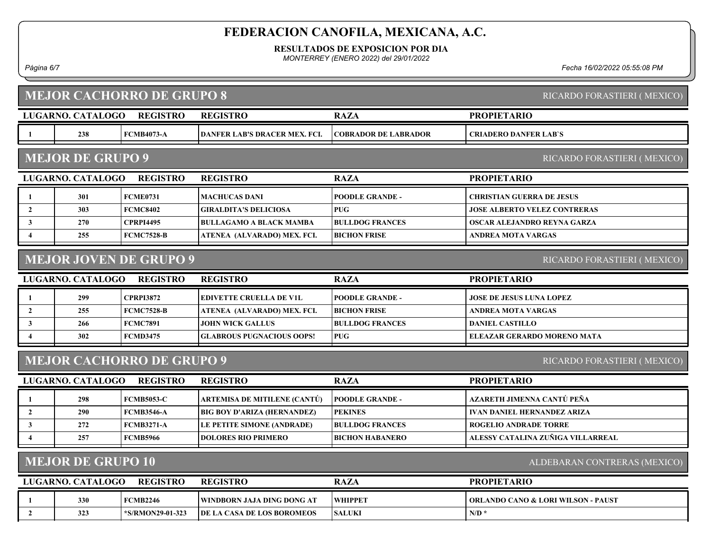RESULTADOS DE EXPOSICION POR DIA

MONTERREY (ENERO 2022) del 29/01/2022

Página 6/7 Fecha 16/02/2022 05:55:08 PM

|                                                          | <b>MEJOR CACHORRO DE GRUPO 8</b><br>RICARDO FORASTIERI (MEXICO) |                               |                                    |                             |                                               |  |  |  |
|----------------------------------------------------------|-----------------------------------------------------------------|-------------------------------|------------------------------------|-----------------------------|-----------------------------------------------|--|--|--|
|                                                          | <b>LUGARNO. CATALOGO</b>                                        | <b>REGISTRO</b>               | <b>REGISTRO</b>                    | <b>RAZA</b>                 | <b>PROPIETARIO</b>                            |  |  |  |
| 1                                                        | 238                                                             | <b>FCMB4073-A</b>             | DANFER LAB'S DRACER MEX. FCI.      | <b>COBRADOR DE LABRADOR</b> | <b>CRIADERO DANFER LAB'S</b>                  |  |  |  |
|                                                          | <b>MEJOR DE GRUPO 9</b><br>RICARDO FORASTIERI (MEXICO)          |                               |                                    |                             |                                               |  |  |  |
|                                                          | <b>LUGARNO. CATALOGO</b>                                        | <b>REGISTRO</b>               | <b>REGISTRO</b>                    | <b>RAZA</b>                 | <b>PROPIETARIO</b>                            |  |  |  |
| -1                                                       | 301                                                             | <b>FCME0731</b>               | <b>MACHUCAS DANI</b>               | <b>POODLE GRANDE -</b>      | <b>CHRISTIAN GUERRA DE JESUS</b>              |  |  |  |
| $\overline{2}$                                           | 303                                                             | <b>FCMC8402</b>               | <b>GIRALDITA'S DELICIOSA</b>       | <b>PUG</b>                  | <b>JOSE ALBERTO VELEZ CONTRERAS</b>           |  |  |  |
| $\mathbf{3}$                                             | 270                                                             | <b>CPRPI4495</b>              | <b>BULLAGAMO A BLACK MAMBA</b>     | <b>BULLDOG FRANCES</b>      | OSCAR ALEJANDRO REYNA GARZA                   |  |  |  |
| $\overline{\mathbf{4}}$                                  | 255                                                             | <b>FCMC7528-B</b>             | ATENEA (ALVARADO) MEX. FCI.        | <b>BICHON FRISE</b>         | <b>ANDREA MOTA VARGAS</b>                     |  |  |  |
|                                                          |                                                                 | <b>MEJOR JOVEN DE GRUPO 9</b> |                                    |                             | RICARDO FORASTIERI (MEXICO)                   |  |  |  |
|                                                          | LUGARNO. CATALOGO                                               | <b>REGISTRO</b>               | <b>REGISTRO</b>                    | <b>RAZA</b>                 | <b>PROPIETARIO</b>                            |  |  |  |
| 1                                                        | 299                                                             | <b>CPRPI3872</b>              | <b>EDIVETTE CRUELLA DE V1L</b>     | <b>POODLE GRANDE -</b>      | <b>JOSE DE JESUS LUNA LOPEZ</b>               |  |  |  |
| $\overline{2}$                                           | 255                                                             | <b>FCMC7528-B</b>             | ATENEA (ALVARADO) MEX. FCI.        | <b>BICHON FRISE</b>         | <b>ANDREA MOTA VARGAS</b>                     |  |  |  |
| $\mathbf{3}$                                             | 266                                                             | <b>FCMC7891</b>               | <b>JOHN WICK GALLUS</b>            | <b>BULLDOG FRANCES</b>      | <b>DANIEL CASTILLO</b>                        |  |  |  |
| $\boldsymbol{4}$                                         | 302                                                             | <b>FCMD3475</b>               | <b>GLABROUS PUGNACIOUS OOPS!</b>   | <b>PUG</b>                  | <b>ELEAZAR GERARDO MORENO MATA</b>            |  |  |  |
|                                                          | <b>MEJOR CACHORRO DE GRUPO 9</b><br>RICARDO FORASTIERI (MEXICO) |                               |                                    |                             |                                               |  |  |  |
|                                                          | LUGARNO. CATALOGO                                               | <b>REGISTRO</b>               | <b>REGISTRO</b>                    | <b>RAZA</b>                 | <b>PROPIETARIO</b>                            |  |  |  |
| 1                                                        | 298                                                             | <b>FCMB5053-C</b>             | ARTEMISA DE MITILENE (CANTÚ)       | <b>POODLE GRANDE -</b>      | AZARETH JIMENNA CANTÚ PEÑA                    |  |  |  |
| $\overline{2}$                                           | 290                                                             | <b>FCMB3546-A</b>             | <b>BIG BOY D'ARIZA (HERNANDEZ)</b> | <b>PEKINES</b>              | <b>IVAN DANIEL HERNANDEZ ARIZA</b>            |  |  |  |
| $\mathbf{3}$                                             | 272                                                             | <b>FCMB3271-A</b>             | LE PETITE SIMONE (ANDRADE)         | <b>BULLDOG FRANCES</b>      | <b>ROGELIO ANDRADE TORRE</b>                  |  |  |  |
| 4                                                        | 257                                                             | <b>FCMB5966</b>               | <b>DOLORES RIO PRIMERO</b>         | <b>BICHON HABANERO</b>      | ALESSY CATALINA ZUÑIGA VILLARREAL             |  |  |  |
| <b>MEJOR DE GRUPO 10</b><br>ALDEBARAN CONTRERAS (MEXICO) |                                                                 |                               |                                    |                             |                                               |  |  |  |
|                                                          |                                                                 |                               |                                    |                             |                                               |  |  |  |
|                                                          | LUGARNO. CATALOGO                                               | <b>REGISTRO</b>               | <b>REGISTRO</b>                    | <b>RAZA</b>                 | <b>PROPIETARIO</b>                            |  |  |  |
| $\mathbf{1}$                                             | 330                                                             | <b>FCMB2246</b>               | WINDBORN JAJA DING DONG AT         | <b>WHIPPET</b>              | <b>ORLANDO CANO &amp; LORI WILSON - PAUST</b> |  |  |  |